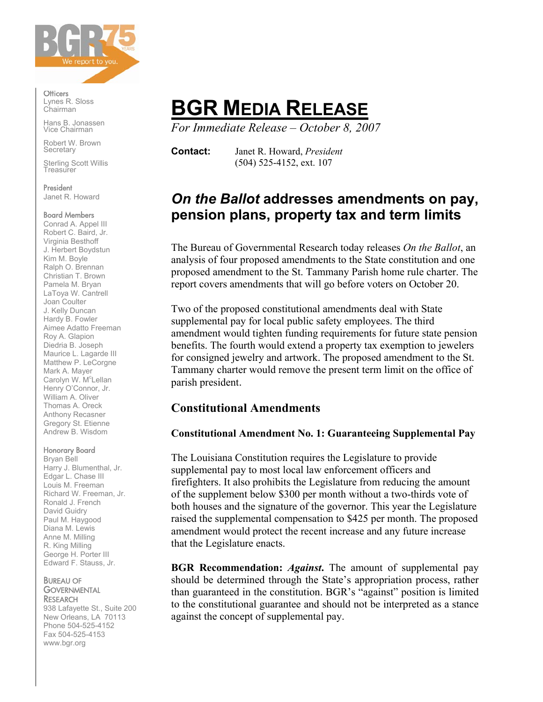

**Officers** Lynes R. Sloss Chairman

Hans B. Jonassen Vice Chairman

Robert W. Brown **Secretary** 

Sterling Scott Willis **Treasurer** 

President

Janet R. Howard

#### Board Members

Conrad A. Appel III Robert C. Baird, Jr. Virginia Besthoff J. Herbert Boydstun Kim M. Boyle Ralph O. Brennan Christian T. Brown Pamela M. Bryan LaToya W. Cantrell Joan Coulter J. Kelly Duncan Hardy B. Fowler Aimee Adatto Freeman Roy A. Glapion Diedria B. Joseph Maurice L. Lagarde III Matthew P. LeCorgne Mark A. Mayer Carolyn W. M<sup>c</sup>Lellan Henry O'Connor, Jr. William A. Oliver Thomas A. Oreck Anthony Recasner Gregory St. Etienne Andrew B. Wisdom

#### Honorary Board

Bryan Bell Harry J. Blumenthal, Jr. Edgar L. Chase III Louis M. Freeman Richard W. Freeman, Jr. Ronald J. French David Guidry Paul M. Haygood Diana M. Lewis Anne M. Milling R. King Milling George H. Porter III Edward F. Stauss, Jr.

#### BUREAU OF **GOVERNMENTAL RESEARCH**

938 Lafayette St., Suite 200 New Orleans, LA 70113 Phone 504-525-4152 Fax 504-525-4153 www.bgr.org



*For Immediate Release – October 8, 2007*

**Contact:** Janet R. Howard, *President* (504) 525-4152, ext. 107

# *On the Ballot* **addresses amendments on pay, pension plans, property tax and term limits**

The Bureau of Governmental Research today releases *On the Ballot*, an analysis of four proposed amendments to the State constitution and one proposed amendment to the St. Tammany Parish home rule charter. The report covers amendments that will go before voters on October 20.

Two of the proposed constitutional amendments deal with State supplemental pay for local public safety employees. The third amendment would tighten funding requirements for future state pension benefits. The fourth would extend a property tax exemption to jewelers for consigned jewelry and artwork. The proposed amendment to the St. Tammany charter would remove the present term limit on the office of parish president.

# **Constitutional Amendments**

## **Constitutional Amendment No. 1: Guaranteeing Supplemental Pay**

The Louisiana Constitution requires the Legislature to provide supplemental pay to most local law enforcement officers and firefighters. It also prohibits the Legislature from reducing the amount of the supplement below \$300 per month without a two-thirds vote of both houses and the signature of the governor. This year the Legislature raised the supplemental compensation to \$425 per month. The proposed amendment would protect the recent increase and any future increase that the Legislature enacts.

**BGR Recommendation:** *Against***.** The amount of supplemental pay should be determined through the State's appropriation process, rather than guaranteed in the constitution. BGR's "against" position is limited to the constitutional guarantee and should not be interpreted as a stance against the concept of supplemental pay.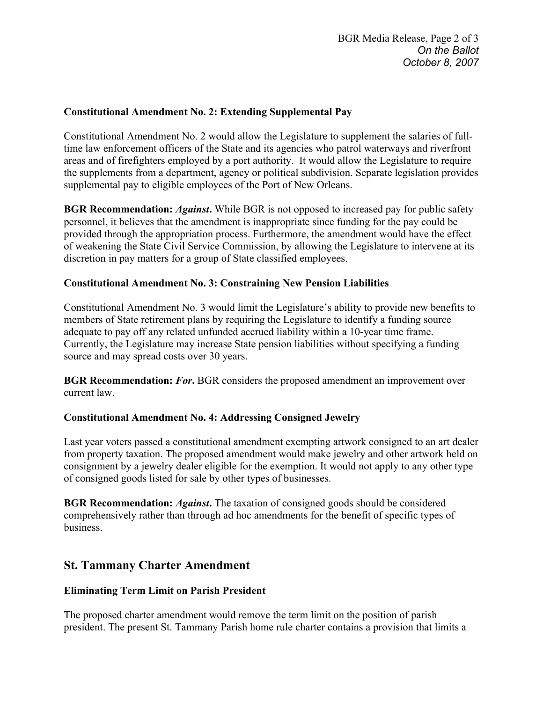## **Constitutional Amendment No. 2: Extending Supplemental Pay**

Constitutional Amendment No. 2 would allow the Legislature to supplement the salaries of fulltime law enforcement officers of the State and its agencies who patrol waterways and riverfront areas and of firefighters employed by a port authority. It would allow the Legislature to require the supplements from a department, agency or political subdivision. Separate legislation provides supplemental pay to eligible employees of the Port of New Orleans.

**BGR Recommendation:** *Against*. While BGR is not opposed to increased pay for public safety personnel, it believes that the amendment is inappropriate since funding for the pay could be provided through the appropriation process. Furthermore, the amendment would have the effect of weakening the State Civil Service Commission, by allowing the Legislature to intervene at its discretion in pay matters for a group of State classified employees.

### **Constitutional Amendment No. 3: Constraining New Pension Liabilities**

Constitutional Amendment No. 3 would limit the Legislature's ability to provide new benefits to members of State retirement plans by requiring the Legislature to identify a funding source adequate to pay off any related unfunded accrued liability within a 10-year time frame. Currently, the Legislature may increase State pension liabilities without specifying a funding source and may spread costs over 30 years.

**BGR Recommendation: For.** BGR considers the proposed amendment an improvement over current law.

#### **Constitutional Amendment No. 4: Addressing Consigned Jewelry**

Last year voters passed a constitutional amendment exempting artwork consigned to an art dealer from property taxation. The proposed amendment would make jewelry and other artwork held on consignment by a jewelry dealer eligible for the exemption. It would not apply to any other type of consigned goods listed for sale by other types of businesses.

**BGR Recommendation:** *Against***.** The taxation of consigned goods should be considered comprehensively rather than through ad hoc amendments for the benefit of specific types of business.

## **St. Tammany Charter Amendment**

#### **Eliminating Term Limit on Parish President**

The proposed charter amendment would remove the term limit on the position of parish president. The present St. Tammany Parish home rule charter contains a provision that limits a